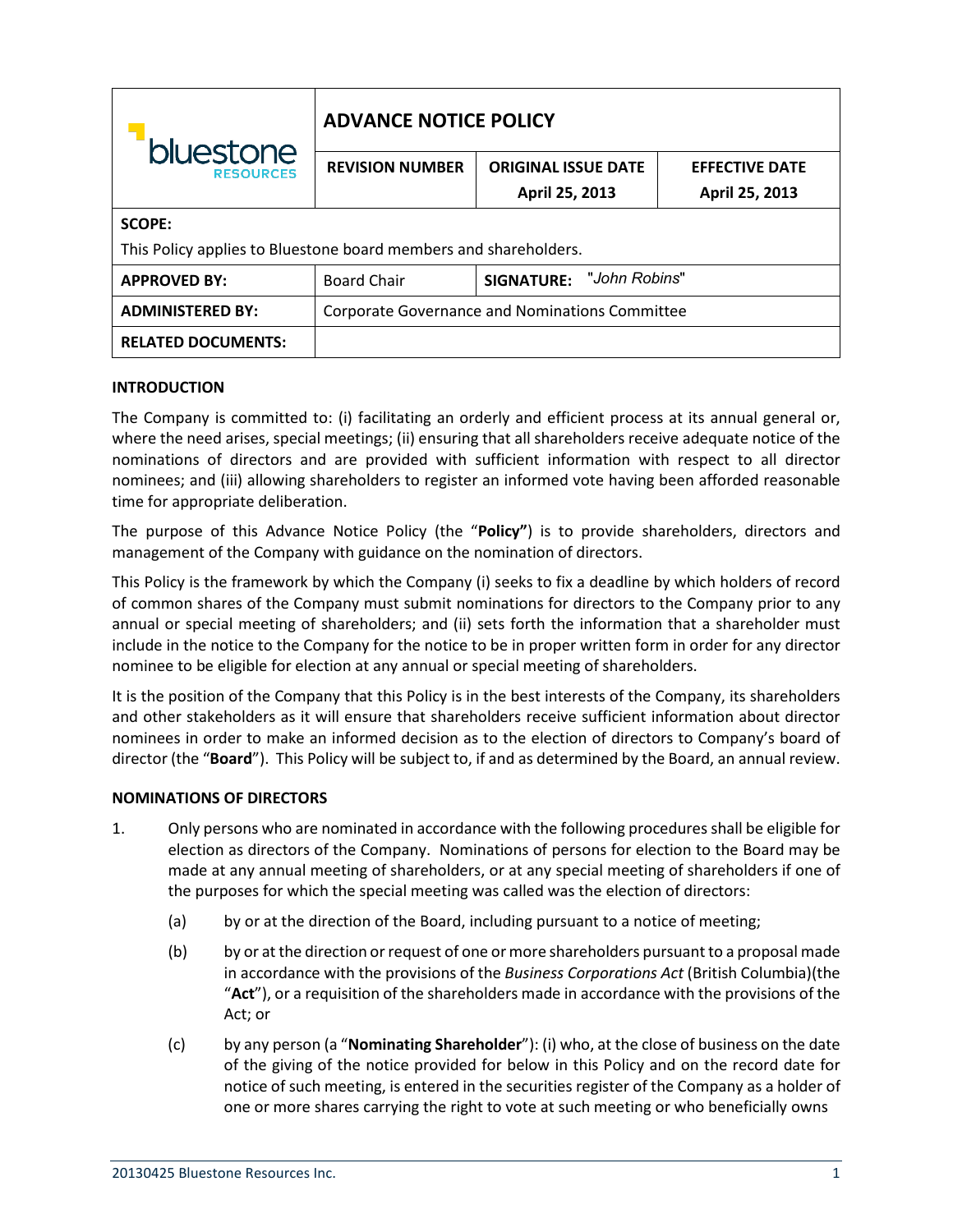| bluestone<br><b>RESOURCES</b>                                    | <b>ADVANCE NOTICE POLICY</b>                   |                                 |                       |
|------------------------------------------------------------------|------------------------------------------------|---------------------------------|-----------------------|
|                                                                  | <b>REVISION NUMBER</b>                         | <b>ORIGINAL ISSUE DATE</b>      | <b>EFFECTIVE DATE</b> |
|                                                                  |                                                | April 25, 2013                  | April 25, 2013        |
| <b>SCOPE:</b>                                                    |                                                |                                 |                       |
| This Policy applies to Bluestone board members and shareholders. |                                                |                                 |                       |
| <b>APPROVED BY:</b>                                              | <b>Board Chair</b>                             | <b>SIGNATURE: "John Robins"</b> |                       |
| <b>ADMINISTERED BY:</b>                                          | Corporate Governance and Nominations Committee |                                 |                       |
| <b>RELATED DOCUMENTS:</b>                                        |                                                |                                 |                       |

## **INTRODUCTION**

The Company is committed to: (i) facilitating an orderly and efficient process at its annual general or, where the need arises, special meetings; (ii) ensuring that all shareholders receive adequate notice of the nominations of directors and are provided with sufficient information with respect to all director nominees; and (iii) allowing shareholders to register an informed vote having been afforded reasonable time for appropriate deliberation.

The purpose of this Advance Notice Policy (the "**Policy"**) is to provide shareholders, directors and management of the Company with guidance on the nomination of directors.

This Policy is the framework by which the Company (i) seeks to fix a deadline by which holders of record of common shares of the Company must submit nominations for directors to the Company prior to any annual or special meeting of shareholders; and (ii) sets forth the information that a shareholder must include in the notice to the Company for the notice to be in proper written form in order for any director nominee to be eligible for election at any annual or special meeting of shareholders.

It is the position of the Company that this Policy is in the best interests of the Company, its shareholders and other stakeholders as it will ensure that shareholders receive sufficient information about director nominees in order to make an informed decision as to the election of directors to Company's board of director (the "**Board**"). This Policy will be subject to, if and as determined by the Board, an annual review.

## **NOMINATIONS OF DIRECTORS**

- 1. Only persons who are nominated in accordance with the following procedures shall be eligible for election as directors of the Company. Nominations of persons for election to the Board may be made at any annual meeting of shareholders, or at any special meeting of shareholders if one of the purposes for which the special meeting was called was the election of directors:
	- (a) by or at the direction of the Board, including pursuant to a notice of meeting;
	- (b) by or at the direction or request of one or more shareholders pursuant to a proposal made in accordance with the provisions of the *Business Corporations Act* (British Columbia)(the "**Act**"), or a requisition of the shareholders made in accordance with the provisions of the Act; or
	- (c) by any person (a "**Nominating Shareholder**"): (i) who, at the close of business on the date of the giving of the notice provided for below in this Policy and on the record date for notice of such meeting, is entered in the securities register of the Company as a holder of one or more shares carrying the right to vote at such meeting or who beneficially owns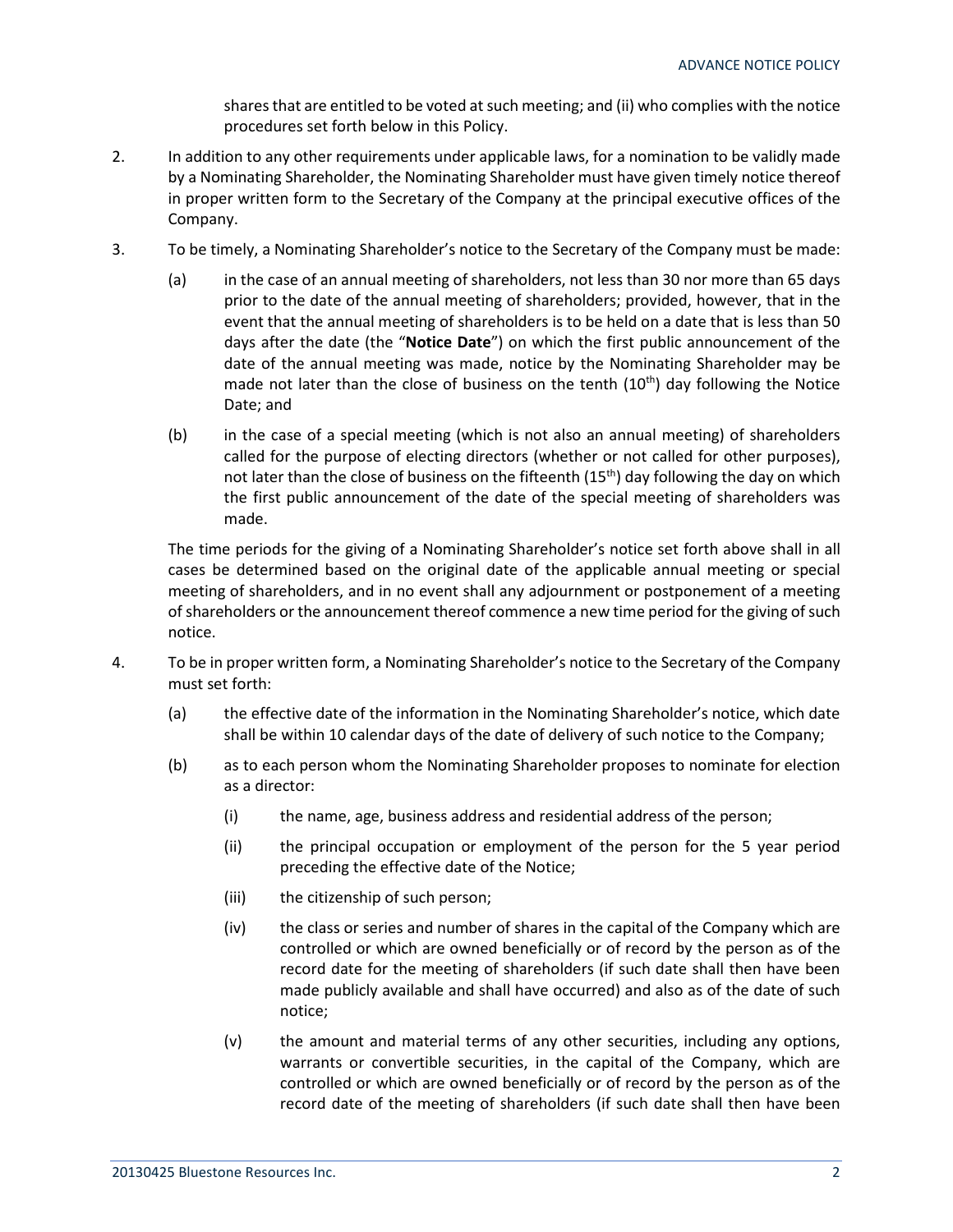shares that are entitled to be voted at such meeting; and (ii) who complies with the notice procedures set forth below in this Policy.

- 2. In addition to any other requirements under applicable laws, for a nomination to be validly made by a Nominating Shareholder, the Nominating Shareholder must have given timely notice thereof in proper written form to the Secretary of the Company at the principal executive offices of the Company.
- 3. To be timely, a Nominating Shareholder's notice to the Secretary of the Company must be made:
	- (a) in the case of an annual meeting of shareholders, not less than 30 nor more than 65 days prior to the date of the annual meeting of shareholders; provided, however, that in the event that the annual meeting of shareholders is to be held on a date that is less than 50 days after the date (the "**Notice Date**") on which the first public announcement of the date of the annual meeting was made, notice by the Nominating Shareholder may be made not later than the close of business on the tenth  $(10<sup>th</sup>)$  day following the Notice Date; and
	- (b) in the case of a special meeting (which is not also an annual meeting) of shareholders called for the purpose of electing directors (whether or not called for other purposes), not later than the close of business on the fifteenth  $(15<sup>th</sup>)$  day following the day on which the first public announcement of the date of the special meeting of shareholders was made.

The time periods for the giving of a Nominating Shareholder's notice set forth above shall in all cases be determined based on the original date of the applicable annual meeting or special meeting of shareholders, and in no event shall any adjournment or postponement of a meeting of shareholders or the announcement thereof commence a new time period for the giving of such notice.

- 4. To be in proper written form, a Nominating Shareholder's notice to the Secretary of the Company must set forth:
	- (a) the effective date of the information in the Nominating Shareholder's notice, which date shall be within 10 calendar days of the date of delivery of such notice to the Company;
	- (b) as to each person whom the Nominating Shareholder proposes to nominate for election as a director:
		- (i) the name, age, business address and residential address of the person;
		- (ii) the principal occupation or employment of the person for the 5 year period preceding the effective date of the Notice;
		- (iii) the citizenship of such person;
		- (iv) the class or series and number of shares in the capital of the Company which are controlled or which are owned beneficially or of record by the person as of the record date for the meeting of shareholders (if such date shall then have been made publicly available and shall have occurred) and also as of the date of such notice;
		- (v) the amount and material terms of any other securities, including any options, warrants or convertible securities, in the capital of the Company, which are controlled or which are owned beneficially or of record by the person as of the record date of the meeting of shareholders (if such date shall then have been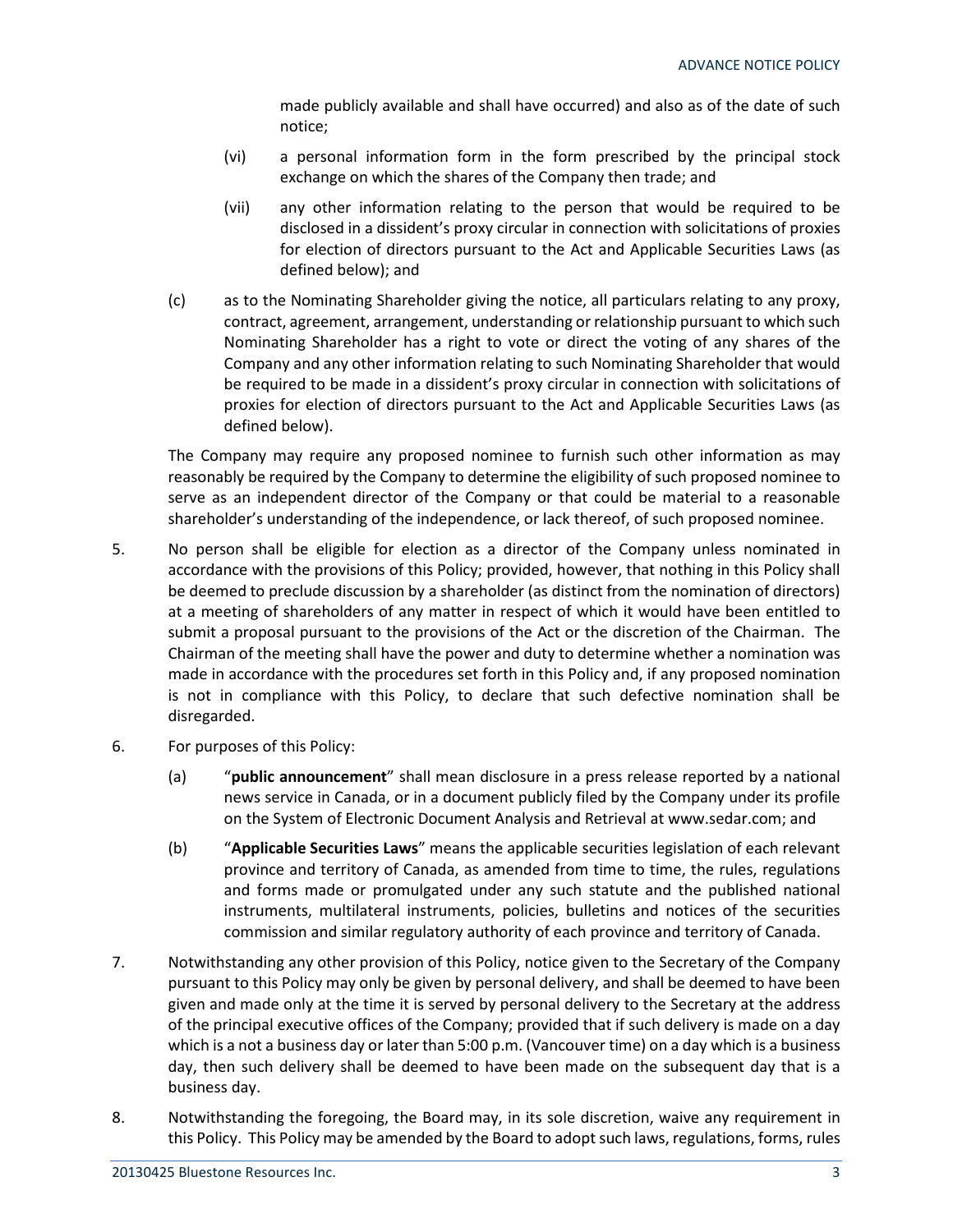made publicly available and shall have occurred) and also as of the date of such notice;

- (vi) a personal information form in the form prescribed by the principal stock exchange on which the shares of the Company then trade; and
- (vii) any other information relating to the person that would be required to be disclosed in a dissident's proxy circular in connection with solicitations of proxies for election of directors pursuant to the Act and Applicable Securities Laws (as defined below); and
- (c) as to the Nominating Shareholder giving the notice, all particulars relating to any proxy, contract, agreement, arrangement, understanding or relationship pursuant to which such Nominating Shareholder has a right to vote or direct the voting of any shares of the Company and any other information relating to such Nominating Shareholder that would be required to be made in a dissident's proxy circular in connection with solicitations of proxies for election of directors pursuant to the Act and Applicable Securities Laws (as defined below).

The Company may require any proposed nominee to furnish such other information as may reasonably be required by the Company to determine the eligibility of such proposed nominee to serve as an independent director of the Company or that could be material to a reasonable shareholder's understanding of the independence, or lack thereof, of such proposed nominee.

- 5. No person shall be eligible for election as a director of the Company unless nominated in accordance with the provisions of this Policy; provided, however, that nothing in this Policy shall be deemed to preclude discussion by a shareholder (as distinct from the nomination of directors) at a meeting of shareholders of any matter in respect of which it would have been entitled to submit a proposal pursuant to the provisions of the Act or the discretion of the Chairman. The Chairman of the meeting shall have the power and duty to determine whether a nomination was made in accordance with the procedures set forth in this Policy and, if any proposed nomination is not in compliance with this Policy, to declare that such defective nomination shall be disregarded.
- 6. For purposes of this Policy:
	- (a) "**public announcement**" shall mean disclosure in a press release reported by a national news service in Canada, or in a document publicly filed by the Company under its profile on the System of Electronic Document Analysis and Retrieval at www.sedar.com; and
	- (b) "**Applicable Securities Laws**" means the applicable securities legislation of each relevant province and territory of Canada, as amended from time to time, the rules, regulations and forms made or promulgated under any such statute and the published national instruments, multilateral instruments, policies, bulletins and notices of the securities commission and similar regulatory authority of each province and territory of Canada.
- 7. Notwithstanding any other provision of this Policy, notice given to the Secretary of the Company pursuant to this Policy may only be given by personal delivery, and shall be deemed to have been given and made only at the time it is served by personal delivery to the Secretary at the address of the principal executive offices of the Company; provided that if such delivery is made on a day which is a not a business day or later than 5:00 p.m. (Vancouver time) on a day which is a business day, then such delivery shall be deemed to have been made on the subsequent day that is a business day.
- 8. Notwithstanding the foregoing, the Board may, in its sole discretion, waive any requirement in this Policy. This Policy may be amended by the Board to adopt such laws, regulations, forms, rules